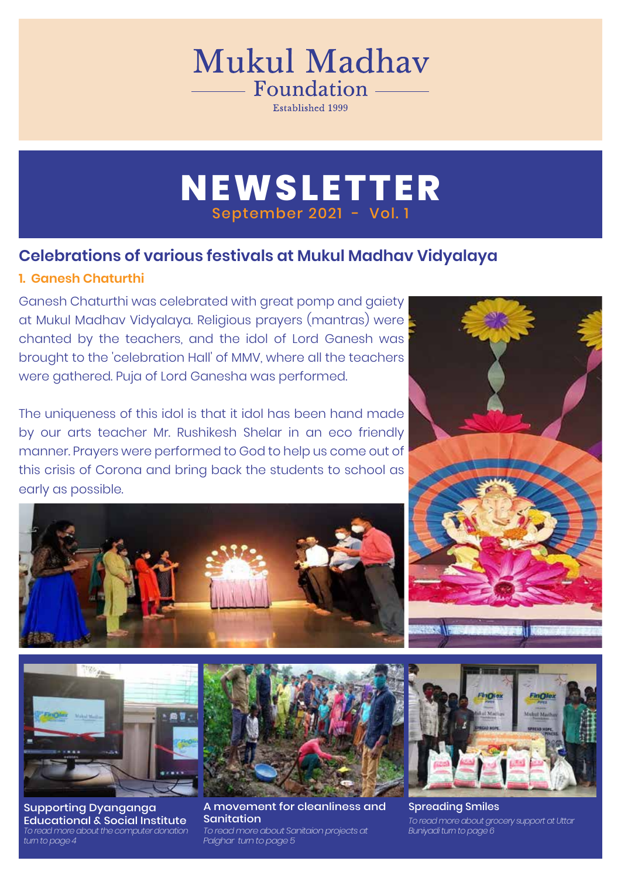# Mukul Madhav - Foundation

Established 1999

## **NEWSLETTER** September 2021 - Vol. 1

### **Celebrations of various festivals at Mukul Madhav Vidyalaya**

### **1. Ganesh Chaturthi**

Ganesh Chaturthi was celebrated with great pomp and gaiety at Mukul Madhav Vidyalaya. Religious prayers (mantras) were chanted by the teachers, and the idol of Lord Ganesh was brought to the 'celebration Hall' of MMV, where all the teachers were gathered. Puja of Lord Ganesha was performed.

The uniqueness of this idol is that it idol has been hand made by our arts teacher Mr. Rushikesh Shelar in an eco friendly manner. Prayers were performed to God to help us come out of this crisis of Corona and bring back the students to school as early as possible.





Supporting Dyanganga Educational & Social Institute *To read more about the computer donation turn to page 4*



*To read more about Sanitaion projects at Buniyadi turn to page 6 Palghar turn to page 5* A movement for cleanliness and Sanitation





Spreading Smiles *To read more about grocery support at Uttar*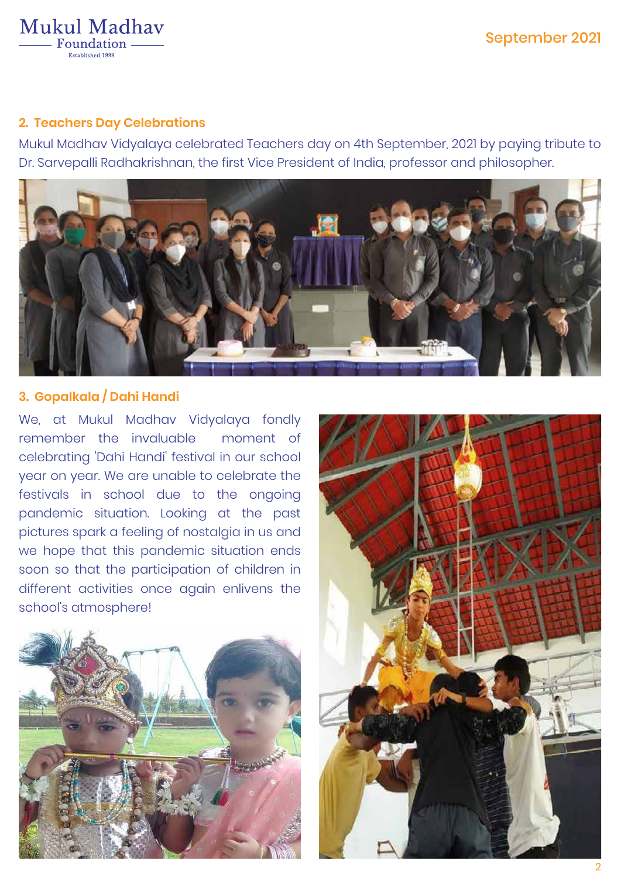#### Mukul Madhav Foundation -Established 1999

### **2. Teachers Day Celebrations**

Mukul Madhav Vidyalaya celebrated Teachers day on 4th September, 2021 by paying tribute to Dr. Sarvepalli Radhakrishnan, the first Vice President of India, professor and philosopher.



### **3. Gopalkala / Dahi Handi**

We, at Mukul Madhav Vidyalaya fondly remember the invaluable moment of celebrating 'Dahi Handi' festival in our school year on year. We are unable to celebrate the festivals in school due to the ongoing pandemic situation. Looking at the past pictures spark a feeling of nostalgia in us and we hope that this pandemic situation ends soon so that the participation of children in different activities once again enlivens the school's atmosphere!



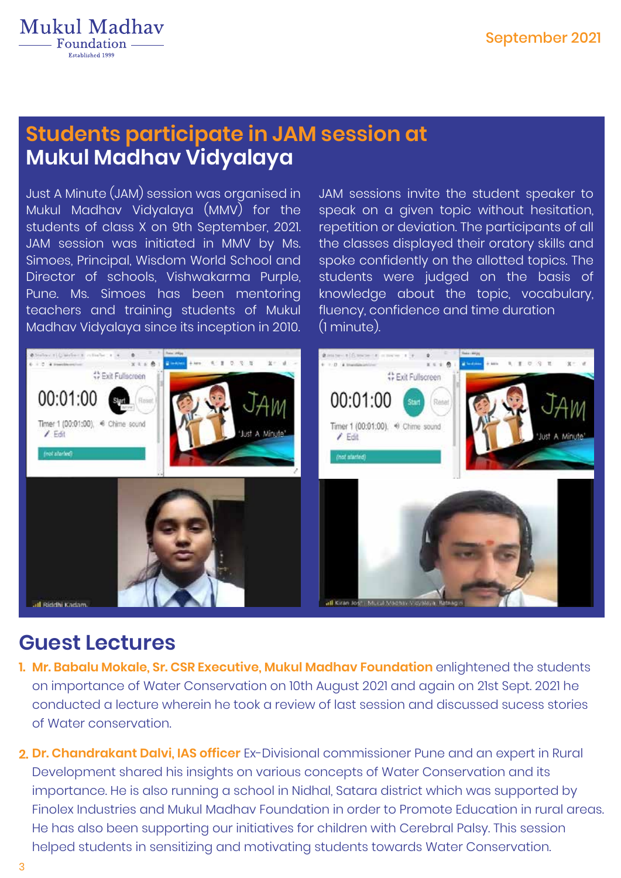

### **Mukul Madhav Vidyalaya Students participate in JAM session at**

Just A Minute (JAM) session was organised in Mukul Madhav Vidyalaya (MMV) for the students of class X on 9th September, 2021. JAM session was initiated in MMV by Ms. Simoes, Principal, Wisdom World School and Director of schools, Vishwakarma Purple, Pune. Ms. Simoes has been mentoring teachers and training students of Mukul Madhav Vidyalaya since its inception in 2010.

JAM sessions invite the student speaker to speak on a given topic without hesitation, repetition or deviation. The participants of all the classes displayed their oratory skills and spoke confidently on the allotted topics. The students were judged on the basis of knowledge about the topic, vocabulary, fluency, confidence and time duration (1 minute).



### **Guest Lectures**

- **Mr. Babalu Mokale, Sr. CSR Executive, Mukul Madhav Foundation** enlightened the students **1.**  on importance of Water Conservation on 10th August 2021 and again on 21st Sept. 2021 he conducted a lecture wherein he took a review of last session and discussed sucess stories of Water conservation.
- **Dr. Chandrakant Dalvi, IAS officer** Ex-Divisional commissioner Pune and an expert in Rural **2.**  Development shared his insights on various concepts of Water Conservation and its importance. He is also running a school in Nidhal, Satara district which was supported by Finolex Industries and Mukul Madhav Foundation in order to Promote Education in rural areas. He has also been supporting our initiatives for children with Cerebral Palsy. This session helped students in sensitizing and motivating students towards Water Conservation.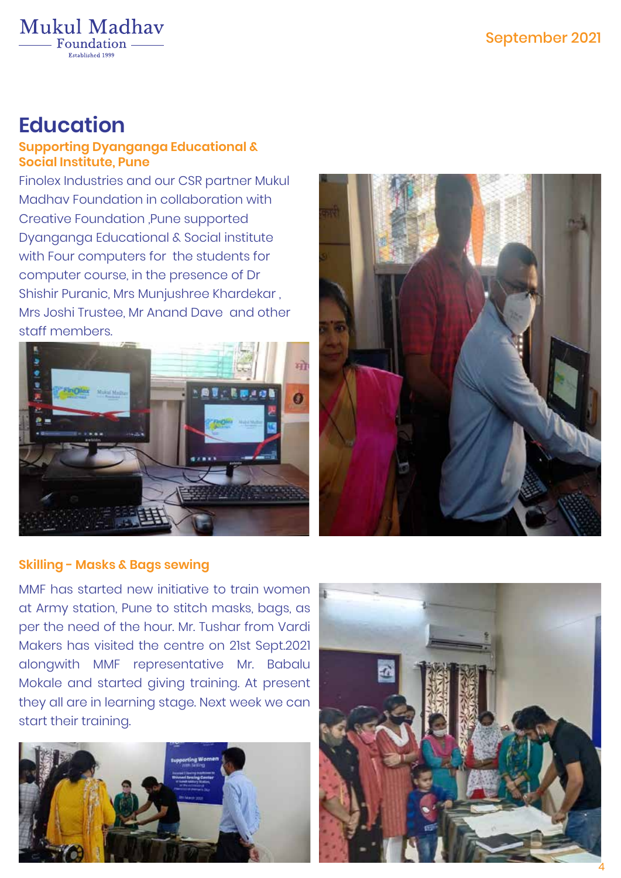

Mukul Madhav Foundation -

### **Education**

### **Supporting Dyanganga Educational & Social Institute, Pune**

Finolex Industries and our CSR partner Mukul Madhav Foundation in collaboration with Creative Foundation ,Pune supported Dyanganga Educational & Social institute with Four computers for the students for computer course, in the presence of Dr Shishir Puranic, Mrs Munjushree Khardekar , Mrs Joshi Trustee, Mr Anand Dave and other staff members.





### **Skilling - Masks & Bags sewing**

MMF has started new initiative to train women at Army station, Pune to stitch masks, bags, as per the need of the hour. Mr. Tushar from Vardi Makers has visited the centre on 21st Sept.2021 alongwith MMF representative Mr. Babalu Mokale and started giving training. At present they all are in learning stage. Next week we can start their training.



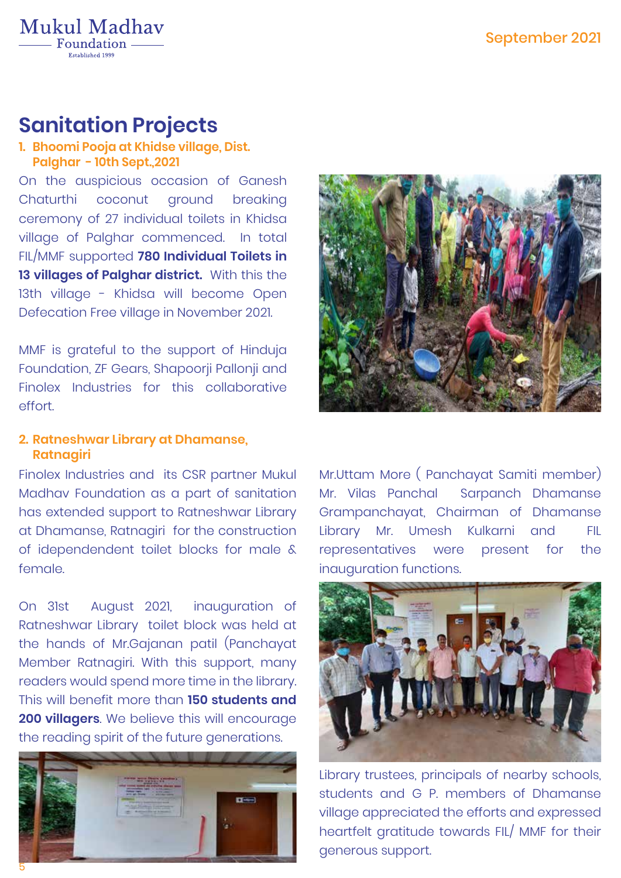

### **Sanitation Projects**

#### **Bhoomi Pooja at Khidse village, Dist. 1. Palghar - 10th Sept.,2021**

On the auspicious occasion of Ganesh Chaturthi coconut ground breaking ceremony of 27 individual toilets in Khidsa village of Palghar commenced. In total FIL/MMF supported **780 Individual Toilets in 13 villages of Palghar district.** With this the 13th village - Khidsa will become Open Defecation Free village in November 2021.

MMF is grateful to the support of Hinduja Foundation, ZF Gears, Shapoorji Pallonji and Finolex Industries for this collaborative effort.

#### **Ratneshwar Library at Dhamanse, 2. Ratnagiri**

Finolex Industries and its CSR partner Mukul Madhav Foundation as a part of sanitation has extended support to Ratneshwar Library at Dhamanse, Ratnagiri for the construction of idependendent toilet blocks for male & female.

On 31st August 2021, inauguration of Ratneshwar Library toilet block was held at the hands of Mr.Gajanan patil (Panchayat Member Ratnagiri. With this support, many readers would spend more time in the library. This will benefit more than **150 students and 200 villagers**. We believe this will encourage the reading spirit of the future generations.





Mr.Uttam More ( Panchayat Samiti member) Mr. Vilas Panchal Sarpanch Dhamanse Grampanchayat, Chairman of Dhamanse Library Mr. Umesh Kulkarni and FIL representatives were present for the inauguration functions.



Library trustees, principals of nearby schools, students and G P. members of Dhamanse village appreciated the efforts and expressed heartfelt gratitude towards FIL/ MMF for their generous support.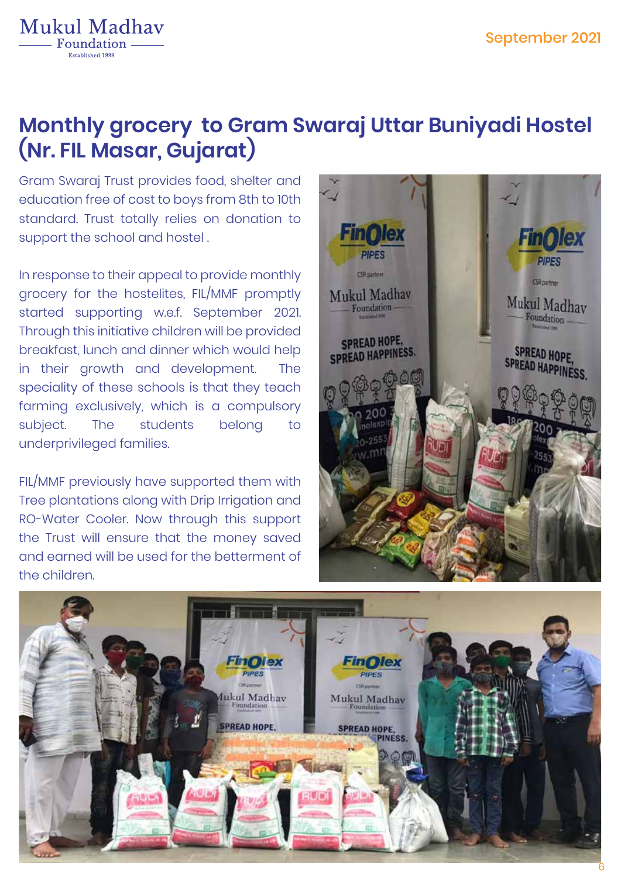

## **Monthly grocery to Gram Swaraj Uttar Buniyadi Hostel (Nr. FIL Masar, Gujarat)**

Gram Swaraj Trust provides food, shelter and education free of cost to boys from 8th to 10th standard. Trust totally relies on donation to support the school and hostel .

In response to their appeal to provide monthly grocery for the hostelites, FIL/MMF promptly started supporting w.e.f. September 2021. Through this initiative children will be provided breakfast, lunch and dinner which would help in their growth and development. The speciality of these schools is that they teach farming exclusively, which is a compulsory subject. The students belong to underprivileged families.

FIL/MMF previously have supported them with Tree plantations along with Drip Irrigation and RO-Water Cooler. Now through this support the Trust will ensure that the money saved and earned will be used for the betterment of the children.